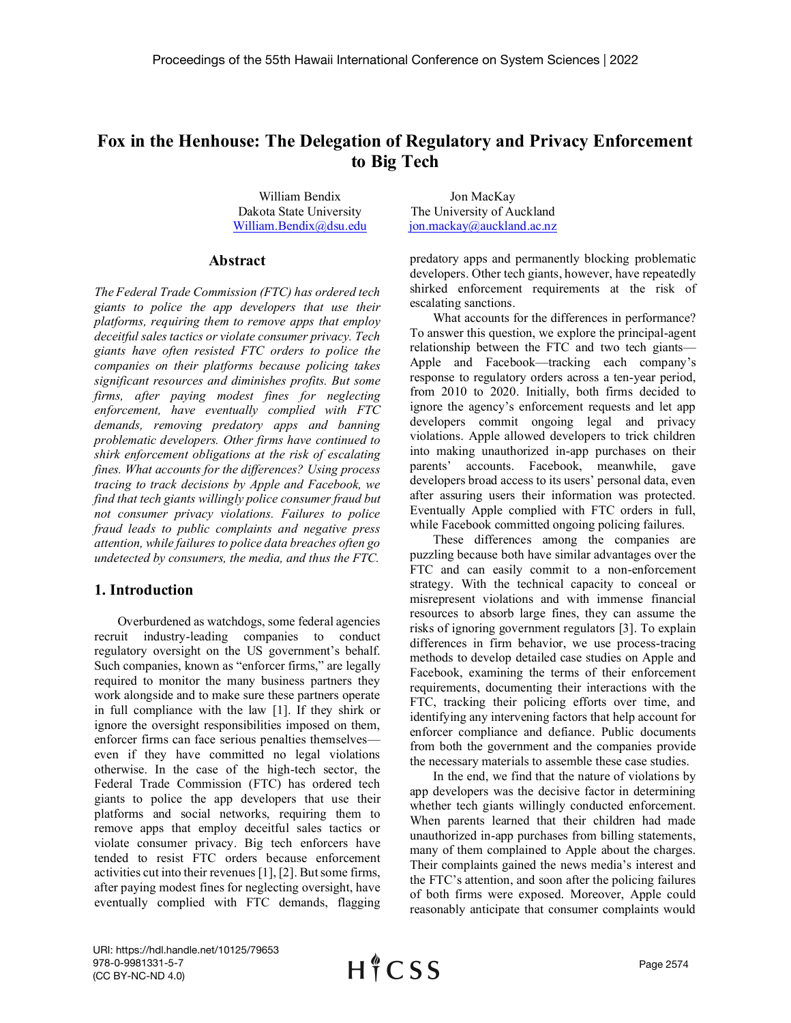# Fox in the Henhouse: The Delegation of Regulatory and Privacy Enforcement to Big Tech

William Bendix Dakota State University

#### Abstract

Proceedings of the 55th Hawaii International Conference on System Sciences | 2022<br> **Fox in the Henhouse: The Delegation of Regulatory and Privacy Enforcement**<br> **to Big Tech**<br>
William Bendix and **Big Tech**<br>
William Bendix Proceedings of the 55th Hawaii International Conference on System Sciences | 2022<br> **Fox in the Henhouse: The Delegation of Regulatory and Privacy Enforcement**<br>
William Bendix<br>
Dakota State University<br>
Dakota State Univers **Proceedings of the 55th Hawaii International Conference on System Sciences | 2022<br>
<b>Fox in the Henhouse: The Delegation of Regulatory and Privacy Enforcement**<br> **to Big Tech**<br>
William Bendix<br>
Dakota State University<br>
The Proceedings of the 55th Hawaii International Conference on System Sciences | 2022<br> **Fox in the Henhouse: The Delegation of Regulatory and Privacy Enforcement**<br> **to Big Tech**<br>
William Bendix<br>
William Bendix<br>
Dakota State U Proceedings of the 55th Hawaii International Conference on System Sciences | 2022<br> **Fox in the Henhouse:** The Delegation of Regulatory and Privacy Enforcement<br>
William Bendix (**Big Tech**<br>
William Bendix (**Big Tech**<br>
Willi Proceedings of the 55th Hawaii International Conference on System Sciences | 2022<br> **Fox in the Henhouse:** The Delegation of Regulatory and Privacy Enforcement<br>
to Big Tech<br>
William Bendix over the University<br>
Dakota State **Frocessings of the solit reaval inferrational conference on system sciences**  $z \, \omega z z$ **<br>
Fox in the Henhouse: The Delegation of Regulatory and Privacy Enforcement<br>
to Big Tech<br>
William Bendix and the University The Univers Fox in the Henhouse: The Delegation of Regulatory and Privacy Enforcement to Big Tech strate to the different of the measurement of the measurement of the measurement of the measurement of the tederal trade Commission (F Fox in the Henhouse: The Delegation of Regulatory and Privacy Enforcement to Big Tech william Bendix (biversity The University of Auckland William Bendix (denotes The University The University Auckland Summarity (FTC) ha Fox in the Henhouse: The Delegation of Regulatory and Privacy Enforcement**<br>
William Bendix<br>
William Bendix<br>
Dakota State University The University of Auckland<br>
Dakota State University The University of Auckland<br>
Dakota S **Fox in the Henhouse: The Delegation of Regulatory and Privacy Enforcement to Big Tech<br>
William Bendix<br>
User the University of Auckkad<br>
Dakots State University in the University of Auckkad<br>
William Bendix@dsu.edu<br>
Abstrac Fox in the Henhouse: The Delegation of Regulatory and Privacy Enforcement<br>
to Big Tech<br>
William Bendix@dat.edu<br>
William Bendix@dat.edu<br>
Dakota Stute University<br>
The University of Auckland<br>
William Bendix@dat.edu<br>
<b>Abstra for Big Tech**<br>
William Bendix<br>
William Bendix<br>
William Bendix<br>
William Bendix<br>  $\frac{1}{2}$  Construct The Diversity The University of Auckland<br>  $\frac{1}{2}$  Construct problems in  $\frac{1}{2}$  Construct problems for the difference **EXERCT:**<br> **EXERCT:** The University of Auckland<br>
The University of Auckland<br>
The University of Auckland<br>
The Federal Trade Commission (FTC) has ordered tech is<br>
discussed to the resignation to policy and permanently block William Bendix<br> **Chalch Charling The University** The University of Auckland<br> **Milliam Bendix@ilar.cdu**<br> **Abstract** perchantic information of FCD has ordered each perchantic developers. Other tech giants, however, these re Note State University The University of Auckland<br>
William Bendix@dsu edu<br>
2018 William Bendix@dsu edu<br>
2018 ion mackay@auckland.ae.nz<br>
2018 Chertext predactory apps and permanently blocking problematic<br>
2018 Chertext prod **Example 19**<br> **Example 10**<br> **Example 10**<br> **Example 10**<br> **Example 10**<br> **Example 10**<br> **Example 10**<br> **Example 10**<br> **Example 10**<br> **Example 10**<br> **Example 10**<br> **Example 10**<br> **Example 10**<br> **Example 10**<br> **Example 10**<br> **Example 10 EVILIAN Bendix@idstractive comparison of the predict product and resumes the proposition of the state of the state of the state of the state of the state of the state of the state of the state of the state of the state o Abstract** predatory apps and permureally blocking problematic<br>developers. Other their distances to the resident the endomy developers that use their shifted enforcement requirements at the risk of<br>giants to police the app

# 1. Introduction

Overburdened as watchdogs, some federal agencies recruit industry-leading companies to conduct regulatory oversight on the US government's behalf. Such companies, known as "enforcer firms," are legally required to monitor the many business partners they work alongside and to make sure these partners operate in full compliance with the law [1]. If they shirk or ignore the oversight responsibilities imposed on them, enforcer firms can face serious penalties themselves even if they have committed no legal violations otherwise. In the case of the high-tech sector, the Federal Trade Commission (FTC) has ordered tech giants to police the app developers that use their platforms and social networks, requiring them to remove apps that employ deceitful sales tactics or violate consumer privacy. Big tech enforcers have tended to resist FTC orders because enforcement activities cut into their revenues [1], [2]. But some firms, after paying modest fines for neglecting oversight, have eventually complied with FTC demands, flagging

William.Bendix@dsu.edu jon.mackay@auckland.ac.nz Jon MacKay The University of Auckland

> predatory apps and permanently blocking problematic developers. Other tech giants, however, have repeatedly shirked enforcement requirements at the risk of escalating sanctions.

> What accounts for the differences in performance? To answer this question, we explore the principal-agent relationship between the FTC and two tech giants— Apple and Facebook—tracking each company's response to regulatory orders across a ten-year period, from 2010 to 2020. Initially, both firms decided to ignore the agency's enforcement requests and let app developers commit ongoing legal and privacy violations. Apple allowed developers to trick children into making unauthorized in-app purchases on their parents' accounts. Facebook, meanwhile, gave developers broad access to its users' personal data, even after assuring users their information was protected. Eventually Apple complied with FTC orders in full, while Facebook committed ongoing policing failures.

> These differences among the companies are puzzling because both have similar advantages over the FTC and can easily commit to a non-enforcement strategy. With the technical capacity to conceal or misrepresent violations and with immense financial resources to absorb large fines, they can assume the risks of ignoring government regulators [3]. To explain differences in firm behavior, we use process-tracing methods to develop detailed case studies on Apple and Facebook, examining the terms of their enforcement requirements, documenting their interactions with the FTC, tracking their policing efforts over time, and identifying any intervening factors that help account for enforcer compliance and defiance. Public documents from both the government and the companies provide the necessary materials to assemble these case studies.

> In the end, we find that the nature of violations by app developers was the decisive factor in determining whether tech giants willingly conducted enforcement. When parents learned that their children had made unauthorized in-app purchases from billing statements, many of them complained to Apple about the charges. Their complaints gained the news media's interest and the FTC's attention, and soon after the policing failures of both firms were exposed. Moreover, Apple could reasonably anticipate that consumer complaints would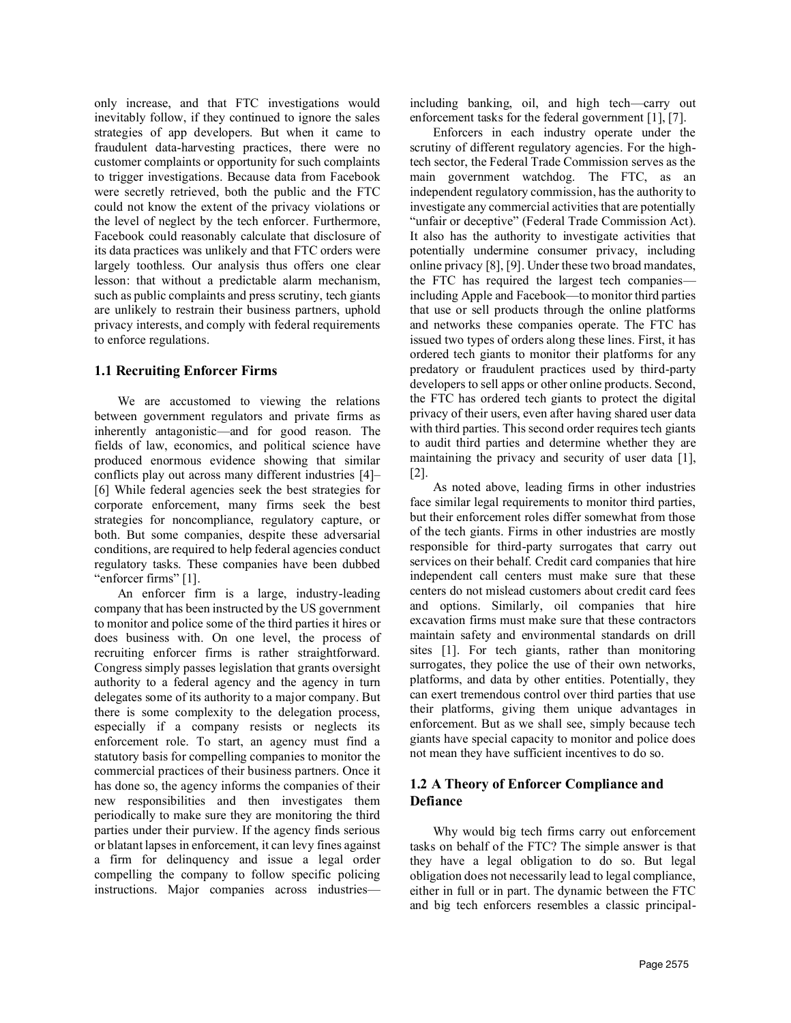only increase, and that FTC investigations would inevitably follow, if they continued to ignore the sales strategies of app developers. But when it came to fraudulent data-harvesting practices, there were no customer complaints or opportunity for such complaints to trigger investigations. Because data from Facebook were secretly retrieved, both the public and the FTC could not know the extent of the privacy violations or the level of neglect by the tech enforcer. Furthermore, Facebook could reasonably calculate that disclosure of its data practices was unlikely and that FTC orders were largely toothless. Our analysis thus offers one clear lesson: that without a predictable alarm mechanism, such as public complaints and press scrutiny, tech giants are unlikely to restrain their business partners, uphold privacy interests, and comply with federal requirements to enforce regulations.

## 1.1 Recruiting Enforcer Firms

We are accustomed to viewing the relations between government regulators and private firms as inherently antagonistic—and for good reason. The fields of law, economics, and political science have produced enormous evidence showing that similar conflicts play out across many different industries [4]– [6] While federal agencies seek the best strategies for corporate enforcement, many firms seek the best strategies for noncompliance, regulatory capture, or both. But some companies, despite these adversarial conditions, are required to help federal agencies conduct regulatory tasks. These companies have been dubbed "enforcer firms" [1].

An enforcer firm is a large, industry-leading company that has been instructed by the US government to monitor and police some of the third parties it hires or does business with. On one level, the process of recruiting enforcer firms is rather straightforward. Congress simply passes legislation that grants oversight authority to a federal agency and the agency in turn delegates some of its authority to a major company. But there is some complexity to the delegation process, especially if a company resists or neglects its enforcement role. To start, an agency must find a statutory basis for compelling companies to monitor the commercial practices of their business partners. Once it has done so, the agency informs the companies of their new responsibilities and then investigates them periodically to make sure they are monitoring the third parties under their purview. If the agency finds serious or blatant lapses in enforcement, it can levy fines against a firm for delinquency and issue a legal order compelling the company to follow specific policing including banking, oil, and high tech—carry out enforcement tasks for the federal government [1], [7].

Enforcers in each industry operate under the scrutiny of different regulatory agencies. For the hightech sector, the Federal Trade Commission serves as the main government watchdog. The FTC, as an independent regulatory commission, has the authority to investigate any commercial activities that are potentially "unfair or deceptive" (Federal Trade Commission Act). It also has the authority to investigate activities that potentially undermine consumer privacy, including online privacy [8], [9]. Under these two broad mandates, the FTC has required the largest tech companies including Apple and Facebook—to monitor third parties that use or sell products through the online platforms and networks these companies operate. The FTC has issued two types of orders along these lines. First, it has ordered tech giants to monitor their platforms for any predatory or fraudulent practices used by third-party developers to sell apps or other online products. Second, the FTC has ordered tech giants to protect the digital privacy of their users, even after having shared user data with third parties. This second order requires tech giants to audit third parties and determine whether they are maintaining the privacy and security of user data [1], [2].

As noted above, leading firms in other industries face similar legal requirements to monitor third parties, but their enforcement roles differ somewhat from those of the tech giants. Firms in other industries are mostly responsible for third-party surrogates that carry out services on their behalf. Credit card companies that hire independent call centers must make sure that these centers do not mislead customers about credit card fees and options. Similarly, oil companies that hire excavation firms must make sure that these contractors maintain safety and environmental standards on drill sites [1]. For tech giants, rather than monitoring surrogates, they police the use of their own networks, platforms, and data by other entities. Potentially, they can exert tremendous control over third parties that use their platforms, giving them unique advantages in enforcement. But as we shall see, simply because tech giants have special capacity to monitor and police does not mean they have sufficient incentives to do so.

# 1.2 A Theory of Enforcer Compliance and Defiance

instructions. Major companies across industries— either in full or in part. The dynamic between the FTC Why would big tech firms carry out enforcement tasks on behalf of the FTC? The simple answer is that they have a legal obligation to do so. But legal obligation does not necessarily lead to legal compliance, and big tech enforcers resembles a classic principal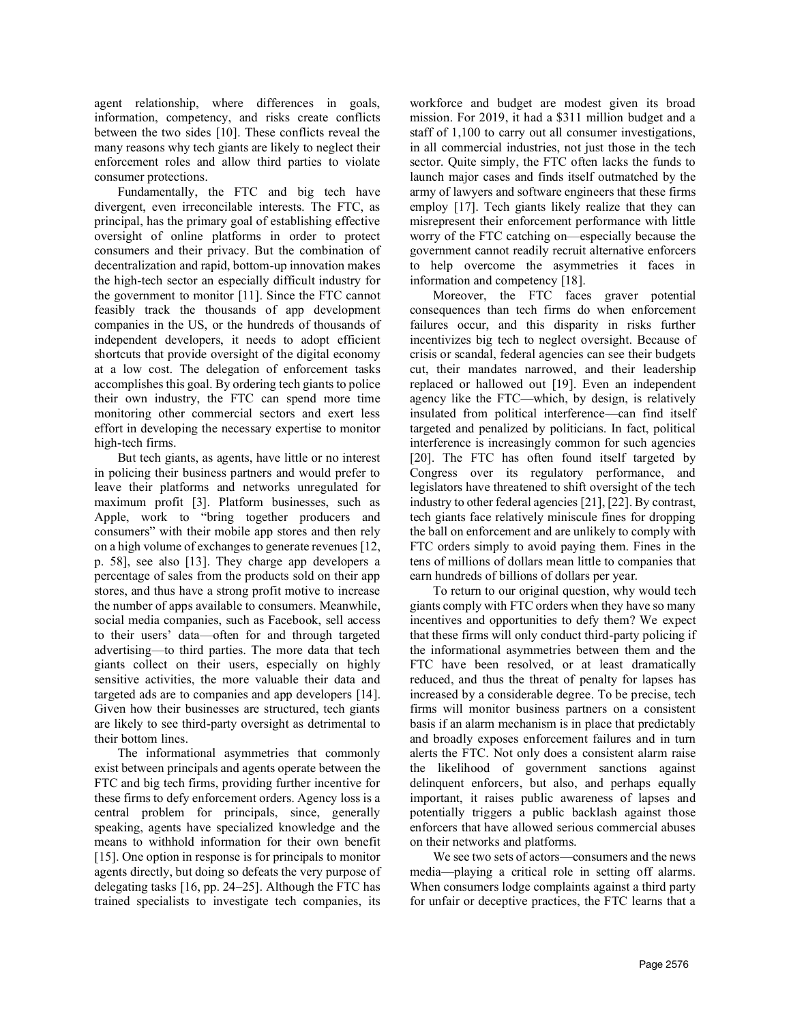agent relationship, where differences in goals, information, competency, and risks create conflicts between the two sides [10]. These conflicts reveal the many reasons why tech giants are likely to neglect their enforcement roles and allow third parties to violate consumer protections.

Fundamentally, the FTC and big tech have divergent, even irreconcilable interests. The FTC, as principal, has the primary goal of establishing effective oversight of online platforms in order to protect consumers and their privacy. But the combination of decentralization and rapid, bottom-up innovation makes the high-tech sector an especially difficult industry for the government to monitor [11]. Since the FTC cannot feasibly track the thousands of app development companies in the US, or the hundreds of thousands of independent developers, it needs to adopt efficient shortcuts that provide oversight of the digital economy at a low cost. The delegation of enforcement tasks accomplishes this goal. By ordering tech giants to police their own industry, the FTC can spend more time monitoring other commercial sectors and exert less effort in developing the necessary expertise to monitor high-tech firms.

But tech giants, as agents, have little or no interest in policing their business partners and would prefer to leave their platforms and networks unregulated for maximum profit [3]. Platform businesses, such as Apple, work to "bring together producers and consumers" with their mobile app stores and then rely on a high volume of exchanges to generate revenues [12, p. 58], see also [13]. They charge app developers a percentage of sales from the products sold on their app stores, and thus have a strong profit motive to increase the number of apps available to consumers. Meanwhile, social media companies, such as Facebook, sell access to their users' data—often for and through targeted advertising—to third parties. The more data that tech giants collect on their users, especially on highly sensitive activities, the more valuable their data and targeted ads are to companies and app developers [14]. Given how their businesses are structured, tech giants are likely to see third-party oversight as detrimental to their bottom lines.

The informational asymmetries that commonly exist between principals and agents operate between the FTC and big tech firms, providing further incentive for these firms to defy enforcement orders. Agency loss is a central problem for principals, since, generally speaking, agents have specialized knowledge and the means to withhold information for their own benefit [15]. One option in response is for principals to monitor agents directly, but doing so defeats the very purpose of delegating tasks [16, pp. 24–25]. Although the FTC has trained specialists to investigate tech companies, its workforce and budget are modest given its broad mission. For 2019, it had a \$311 million budget and a staff of 1,100 to carry out all consumer investigations, in all commercial industries, not just those in the tech sector. Quite simply, the FTC often lacks the funds to launch major cases and finds itself outmatched by the army of lawyers and software engineers that these firms employ [17]. Tech giants likely realize that they can misrepresent their enforcement performance with little worry of the FTC catching on—especially because the government cannot readily recruit alternative enforcers to help overcome the asymmetries it faces in information and competency [18].

Moreover, the FTC faces graver potential consequences than tech firms do when enforcement failures occur, and this disparity in risks further incentivizes big tech to neglect oversight. Because of crisis or scandal, federal agencies can see their budgets cut, their mandates narrowed, and their leadership replaced or hallowed out [19]. Even an independent agency like the FTC—which, by design, is relatively insulated from political interference—can find itself targeted and penalized by politicians. In fact, political interference is increasingly common for such agencies [20]. The FTC has often found itself targeted by Congress over its regulatory performance, and legislators have threatened to shift oversight of the tech industry to other federal agencies [21], [22]. By contrast, tech giants face relatively miniscule fines for dropping the ball on enforcement and are unlikely to comply with FTC orders simply to avoid paying them. Fines in the tens of millions of dollars mean little to companies that earn hundreds of billions of dollars per year.

To return to our original question, why would tech giants comply with FTC orders when they have so many incentives and opportunities to defy them? We expect that these firms will only conduct third-party policing if the informational asymmetries between them and the FTC have been resolved, or at least dramatically reduced, and thus the threat of penalty for lapses has increased by a considerable degree. To be precise, tech firms will monitor business partners on a consistent basis if an alarm mechanism is in place that predictably and broadly exposes enforcement failures and in turn alerts the FTC. Not only does a consistent alarm raise the likelihood of government sanctions against delinquent enforcers, but also, and perhaps equally important, it raises public awareness of lapses and potentially triggers a public backlash against those enforcers that have allowed serious commercial abuses on their networks and platforms.

We see two sets of actors—consumers and the news media—playing a critical role in setting off alarms. When consumers lodge complaints against a third party for unfair or deceptive practices, the FTC learns that a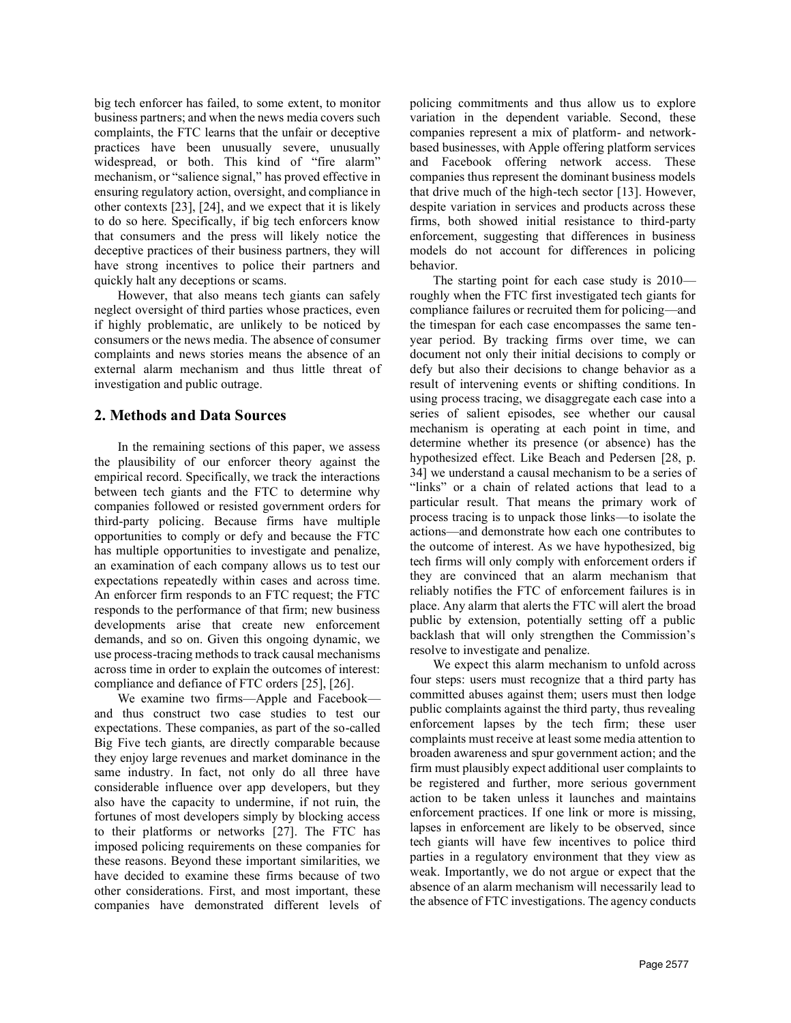big tech enforcer has failed, to some extent, to monitor business partners; and when the news media covers such complaints, the FTC learns that the unfair or deceptive practices have been unusually severe, unusually widespread, or both. This kind of "fire alarm" mechanism, or "salience signal," has proved effective in ensuring regulatory action, oversight, and compliance in other contexts [23], [24], and we expect that it is likely to do so here. Specifically, if big tech enforcers know that consumers and the press will likely notice the deceptive practices of their business partners, they will have strong incentives to police their partners and quickly halt any deceptions or scams.

However, that also means tech giants can safely neglect oversight of third parties whose practices, even if highly problematic, are unlikely to be noticed by consumers or the news media. The absence of consumer complaints and news stories means the absence of an external alarm mechanism and thus little threat of investigation and public outrage.

#### 2. Methods and Data Sources

In the remaining sections of this paper, we assess the plausibility of our enforcer theory against the empirical record. Specifically, we track the interactions between tech giants and the FTC to determine why companies followed or resisted government orders for third-party policing. Because firms have multiple opportunities to comply or defy and because the FTC has multiple opportunities to investigate and penalize, an examination of each company allows us to test our expectations repeatedly within cases and across time. An enforcer firm responds to an FTC request; the FTC responds to the performance of that firm; new business developments arise that create new enforcement demands, and so on. Given this ongoing dynamic, we use process-tracing methods to track causal mechanisms across time in order to explain the outcomes of interest: compliance and defiance of FTC orders [25], [26].

We examine two firms—Apple and Facebook and thus construct two case studies to test our expectations. These companies, as part of the so-called Big Five tech giants, are directly comparable because they enjoy large revenues and market dominance in the same industry. In fact, not only do all three have considerable influence over app developers, but they also have the capacity to undermine, if not ruin, the fortunes of most developers simply by blocking access to their platforms or networks [27]. The FTC has imposed policing requirements on these companies for these reasons. Beyond these important similarities, we have decided to examine these firms because of two other considerations. First, and most important, these companies have demonstrated different levels of policing commitments and thus allow us to explore variation in the dependent variable. Second, these companies represent a mix of platform- and networkbased businesses, with Apple offering platform services and Facebook offering network access. These companies thus represent the dominant business models that drive much of the high-tech sector [13]. However, despite variation in services and products across these firms, both showed initial resistance to third-party enforcement, suggesting that differences in business models do not account for differences in policing behavior.

The starting point for each case study is 2010 roughly when the FTC first investigated tech giants for compliance failures or recruited them for policing—and the timespan for each case encompasses the same tenyear period. By tracking firms over time, we can document not only their initial decisions to comply or defy but also their decisions to change behavior as a result of intervening events or shifting conditions. In using process tracing, we disaggregate each case into a series of salient episodes, see whether our causal mechanism is operating at each point in time, and determine whether its presence (or absence) has the hypothesized effect. Like Beach and Pedersen [28, p. 34] we understand a causal mechanism to be a series of "links" or a chain of related actions that lead to a particular result. That means the primary work of process tracing is to unpack those links—to isolate the actions—and demonstrate how each one contributes to the outcome of interest. As we have hypothesized, big tech firms will only comply with enforcement orders if they are convinced that an alarm mechanism that reliably notifies the FTC of enforcement failures is in place. Any alarm that alerts the FTC will alert the broad public by extension, potentially setting off a public backlash that will only strengthen the Commission's resolve to investigate and penalize.

We expect this alarm mechanism to unfold across four steps: users must recognize that a third party has committed abuses against them; users must then lodge public complaints against the third party, thus revealing enforcement lapses by the tech firm; these user complaints must receive at least some media attention to broaden awareness and spur government action; and the firm must plausibly expect additional user complaints to be registered and further, more serious government action to be taken unless it launches and maintains enforcement practices. If one link or more is missing, lapses in enforcement are likely to be observed, since tech giants will have few incentives to police third parties in a regulatory environment that they view as weak. Importantly, we do not argue or expect that the absence of an alarm mechanism will necessarily lead to the absence of FTC investigations. The agency conducts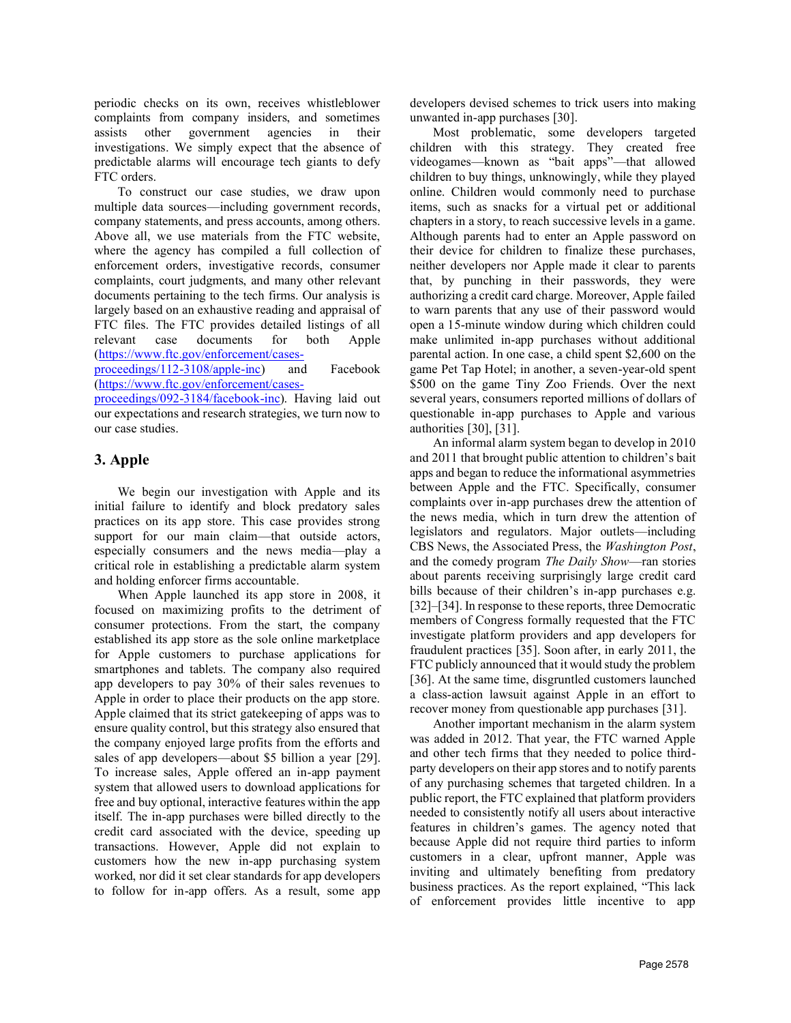periodic checks on its own, receives whistleblower complaints from company insiders, and sometimes assists other government agencies in their investigations. We simply expect that the absence of predictable alarms will encourage tech giants to defy FTC orders.

To construct our case studies, we draw upon multiple data sources—including government records, company statements, and press accounts, among others. Above all, we use materials from the FTC website, where the agency has compiled a full collection of enforcement orders, investigative records, consumer complaints, court judgments, and many other relevant documents pertaining to the tech firms. Our analysis is largely based on an exhaustive reading and appraisal of FTC files. The FTC provides detailed listings of all relevant case documents for both Apple make unlimited in-app purchases without additional (https://www.ftc.gov/enforcement/cases-

proceedings/112-3108/apple-inc) and Facebook (https://www.ftc.gov/enforcement/cases-

proceedings/092-3184/facebook-inc). Having laid out our expectations and research strategies, we turn now to our case studies.

# 3. Apple

We begin our investigation with Apple and its initial failure to identify and block predatory sales practices on its app store. This case provides strong support for our main claim—that outside actors,<br>expecially consumers and the news media—play a CBS News, the Associated Press, the Washington Post, especially consumers and the news media—play a critical role in establishing a predictable alarm system and holding enforcer firms accountable.

When Apple launched its app store in 2008, it focused on maximizing profits to the detriment of consumer protections. From the start, the company established its app store as the sole online marketplace for Apple customers to purchase applications for smartphones and tablets. The company also required app developers to pay 30% of their sales revenues to Apple in order to place their products on the app store. Apple claimed that its strict gatekeeping of apps was to ensure quality control, but this strategy also ensured that the company enjoyed large profits from the efforts and sales of app developers—about \$5 billion a year [29]. To increase sales, Apple offered an in-app payment system that allowed users to download applications for free and buy optional, interactive features within the app itself. The in-app purchases were billed directly to the credit card associated with the device, speeding up transactions. However, Apple did not explain to customers how the new in-app purchasing system worked, nor did it set clear standards for app developers to follow for in-app offers. As a result, some app developers devised schemes to trick users into making unwanted in-app purchases [30].

Most problematic, some developers targeted children with this strategy. They created free videogames—known as "bait apps"—that allowed children to buy things, unknowingly, while they played online. Children would commonly need to purchase items, such as snacks for a virtual pet or additional chapters in a story, to reach successive levels in a game. Although parents had to enter an Apple password on their device for children to finalize these purchases, neither developers nor Apple made it clear to parents that, by punching in their passwords, they were authorizing a credit card charge. Moreover, Apple failed to warn parents that any use of their password would open a 15-minute window during which children could parental action. In one case, a child spent \$2,600 on the game Pet Tap Hotel; in another, a seven-year-old spent \$500 on the game Tiny Zoo Friends. Over the next several years, consumers reported millions of dollars of questionable in-app purchases to Apple and various authorities [30], [31].

An informal alarm system began to develop in 2010 and 2011 that brought public attention to children's bait apps and began to reduce the informational asymmetries between Apple and the FTC. Specifically, consumer complaints over in-app purchases drew the attention of the news media, which in turn drew the attention of legislators and regulators. Major outlets—including and the comedy program The Daily Show—ran stories about parents receiving surprisingly large credit card bills because of their children's in-app purchases e.g. [32]–[34]. In response to these reports, three Democratic members of Congress formally requested that the FTC investigate platform providers and app developers for fraudulent practices [35]. Soon after, in early 2011, the FTC publicly announced that it would study the problem [36]. At the same time, disgruntled customers launched a class-action lawsuit against Apple in an effort to recover money from questionable app purchases [31].

Another important mechanism in the alarm system was added in 2012. That year, the FTC warned Apple and other tech firms that they needed to police thirdparty developers on their app stores and to notify parents of any purchasing schemes that targeted children. In a public report, the FTC explained that platform providers needed to consistently notify all users about interactive features in children's games. The agency noted that because Apple did not require third parties to inform customers in a clear, upfront manner, Apple was inviting and ultimately benefiting from predatory business practices. As the report explained, "This lack of enforcement provides little incentive to app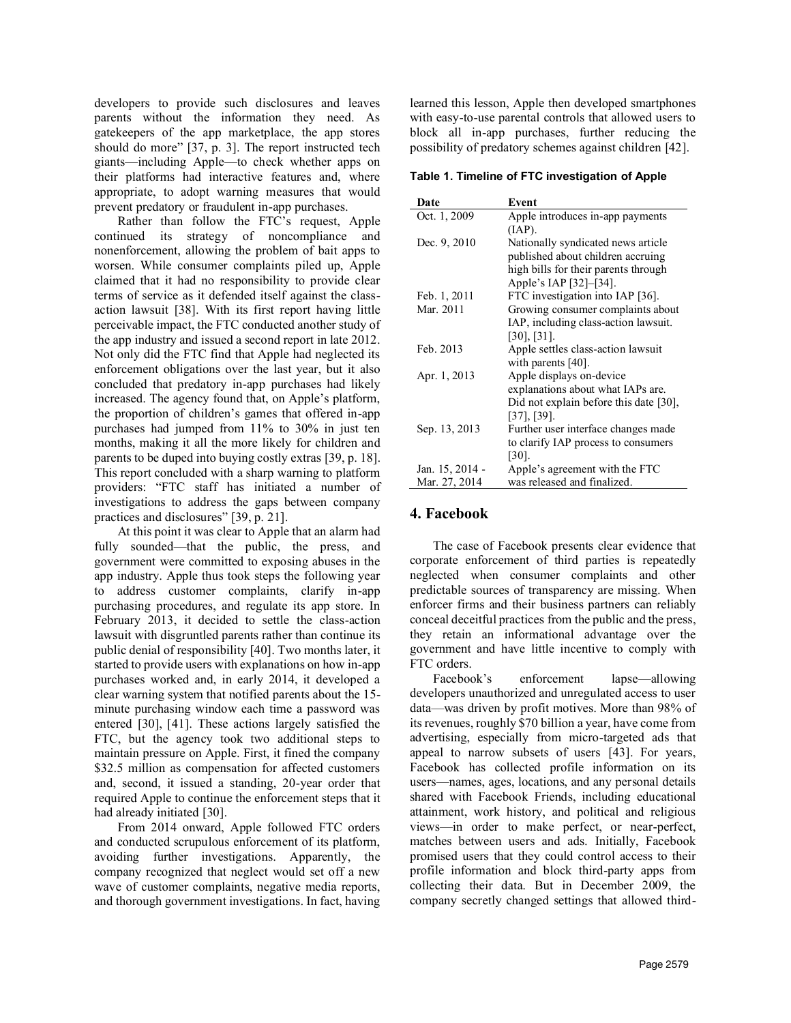developers to provide such disclosures and leaves parents without the information they need. As gatekeepers of the app marketplace, the app stores should do more" [37, p. 3]. The report instructed tech giants—including Apple—to check whether apps on their platforms had interactive features and, where appropriate, to adopt warning measures that would prevent predatory or fraudulent in-app purchases.

Rather than follow the FTC's request, Apple continued its strategy of noncompliance and nonenforcement, allowing the problem of bait apps to worsen. While consumer complaints piled up, Apple claimed that it had no responsibility to provide clear terms of service as it defended itself against the classaction lawsuit [38]. With its first report having little perceivable impact, the FTC conducted another study of the app industry and issued a second report in late 2012. Not only did the FTC find that Apple had neglected its enforcement obligations over the last year, but it also concluded that predatory in-app purchases had likely increased. The agency found that, on Apple's platform, the proportion of children's games that offered in-app purchases had jumped from 11% to 30% in just ten months, making it all the more likely for children and parents to be duped into buying costly extras [39, p. 18]. This report concluded with a sharp warning to platform providers: "FTC staff has initiated a number of investigations to address the gaps between company practices and disclosures" [39, p. 21].

At this point it was clear to Apple that an alarm had fully sounded—that the public, the press, and government were committed to exposing abuses in the app industry. Apple thus took steps the following year to address customer complaints, clarify in-app purchasing procedures, and regulate its app store. In February 2013, it decided to settle the class-action lawsuit with disgruntled parents rather than continue its public denial of responsibility [40]. Two months later, it started to provide users with explanations on how in-app purchases worked and, in early 2014, it developed a clear warning system that notified parents about the 15 minute purchasing window each time a password was entered [30], [41]. These actions largely satisfied the FTC, but the agency took two additional steps to maintain pressure on Apple. First, it fined the company \$32.5 million as compensation for affected customers and, second, it issued a standing, 20-year order that required Apple to continue the enforcement steps that it had already initiated [30].

From 2014 onward, Apple followed FTC orders and conducted scrupulous enforcement of its platform, avoiding further investigations. Apparently, the company recognized that neglect would set off a new wave of customer complaints, negative media reports, and thorough government investigations. In fact, having learned this lesson, Apple then developed smartphones with easy-to-use parental controls that allowed users to block all in-app purchases, further reducing the possibility of predatory schemes against children [42].

Table 1. Timeline of FTC investigation of Apple

| Date            | Event                                     |
|-----------------|-------------------------------------------|
| Oct. 1, 2009    | Apple introduces in-app payments          |
|                 | (IAP).                                    |
| Dec. 9, 2010    | Nationally syndicated news article        |
|                 | published about children accruing         |
|                 | high bills for their parents through      |
|                 | Apple's IAP [32]-[34].                    |
| Feb. 1, 2011    | FTC investigation into IAP [36].          |
| Mar. 2011       | Growing consumer complaints about         |
|                 | IAP, including class-action lawsuit.      |
|                 | $[30]$ , $[31]$ .                         |
| Feb. 2013       | Apple settles class-action lawsuit        |
|                 | with parents $[40]$ .                     |
| Apr. 1, 2013    | Apple displays on-device                  |
|                 | explanations about what IAPs are.         |
|                 | Did not explain before this date $[30]$ , |
|                 | $[37]$ , $[39]$ .                         |
| Sep. 13, 2013   | Further user interface changes made       |
|                 | to clarify IAP process to consumers       |
|                 | $[30]$ .                                  |
| Jan. 15, 2014 - | Apple's agreement with the FTC            |
| Mar. 27, 2014   | was released and finalized.               |

#### 4. Facebook

The case of Facebook presents clear evidence that corporate enforcement of third parties is repeatedly neglected when consumer complaints and other predictable sources of transparency are missing. When enforcer firms and their business partners can reliably conceal deceitful practices from the public and the press, they retain an informational advantage over the government and have little incentive to comply with FTC orders.

enforcement lapse—allowing developers unauthorized and unregulated access to user data—was driven by profit motives. More than 98% of its revenues, roughly \$70 billion a year, have come from advertising, especially from micro-targeted ads that appeal to narrow subsets of users [43]. For years, Facebook has collected profile information on its users—names, ages, locations, and any personal details shared with Facebook Friends, including educational attainment, work history, and political and religious views—in order to make perfect, or near-perfect, matches between users and ads. Initially, Facebook promised users that they could control access to their profile information and block third-party apps from collecting their data. But in December 2009, the company secretly changed settings that allowed third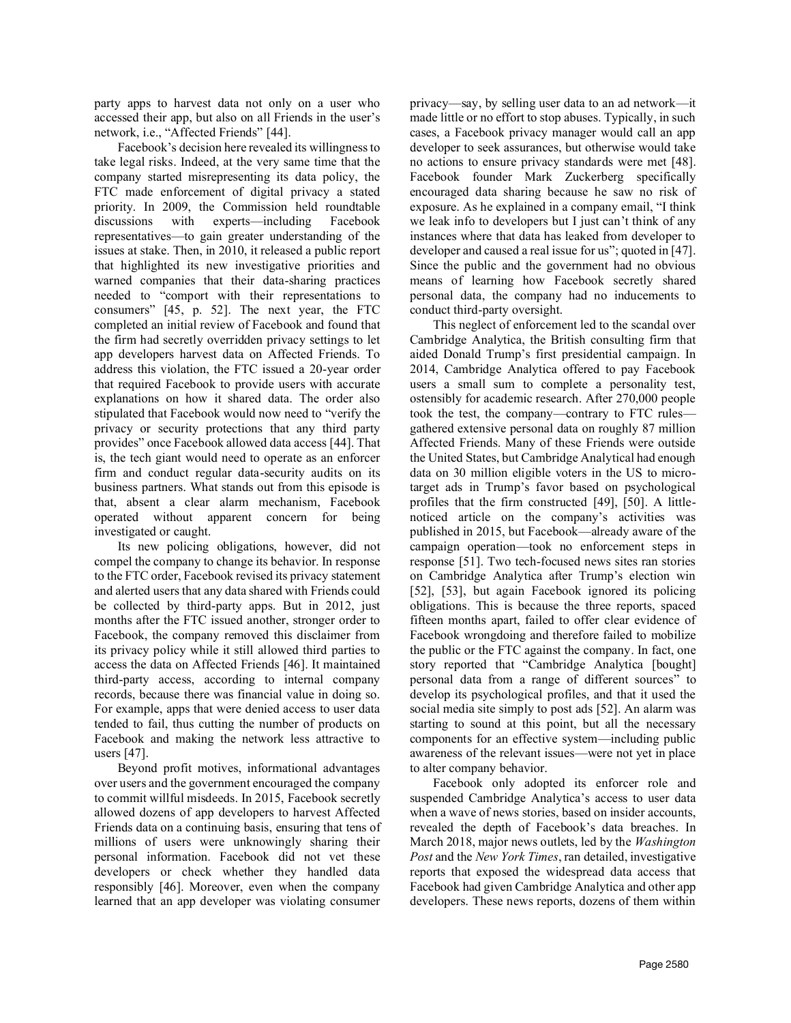party apps to harvest data not only on a user who accessed their app, but also on all Friends in the user's network, i.e., "Affected Friends" [44].

Facebook's decision here revealed its willingness to take legal risks. Indeed, at the very same time that the company started misrepresenting its data policy, the FTC made enforcement of digital privacy a stated priority. In 2009, the Commission held roundtable discussions with experts—including Facebook representatives—to gain greater understanding of the issues at stake. Then, in 2010, it released a public report that highlighted its new investigative priorities and warned companies that their data-sharing practices needed to "comport with their representations to consumers" [45, p. 52]. The next year, the FTC completed an initial review of Facebook and found that the firm had secretly overridden privacy settings to let app developers harvest data on Affected Friends. To address this violation, the FTC issued a 20-year order that required Facebook to provide users with accurate explanations on how it shared data. The order also stipulated that Facebook would now need to "verify the privacy or security protections that any third party provides" once Facebook allowed data access [44]. That is, the tech giant would need to operate as an enforcer firm and conduct regular data-security audits on its business partners. What stands out from this episode is that, absent a clear alarm mechanism, Facebook operated without apparent concern for being investigated or caught.

Its new policing obligations, however, did not compel the company to change its behavior. In response to the FTC order, Facebook revised its privacy statement and alerted users that any data shared with Friends could be collected by third-party apps. But in 2012, just months after the FTC issued another, stronger order to Facebook, the company removed this disclaimer from its privacy policy while it still allowed third parties to access the data on Affected Friends [46]. It maintained third-party access, according to internal company records, because there was financial value in doing so. For example, apps that were denied access to user data tended to fail, thus cutting the number of products on Facebook and making the network less attractive to users [47].

Beyond profit motives, informational advantages over users and the government encouraged the company to commit willful misdeeds. In 2015, Facebook secretly allowed dozens of app developers to harvest Affected Friends data on a continuing basis, ensuring that tens of millions of users were unknowingly sharing their personal information. Facebook did not vet these developers or check whether they handled data responsibly [46]. Moreover, even when the company learned that an app developer was violating consumer

privacy—say, by selling user data to an ad network—it made little or no effort to stop abuses. Typically, in such cases, a Facebook privacy manager would call an app developer to seek assurances, but otherwise would take no actions to ensure privacy standards were met [48]. Facebook founder Mark Zuckerberg specifically encouraged data sharing because he saw no risk of exposure. As he explained in a company email, "I think we leak info to developers but I just can't think of any instances where that data has leaked from developer to developer and caused a real issue for us"; quoted in [47]. Since the public and the government had no obvious means of learning how Facebook secretly shared personal data, the company had no inducements to conduct third-party oversight.

This neglect of enforcement led to the scandal over Cambridge Analytica, the British consulting firm that aided Donald Trump's first presidential campaign. In 2014, Cambridge Analytica offered to pay Facebook users a small sum to complete a personality test, ostensibly for academic research. After 270,000 people took the test, the company—contrary to FTC rules gathered extensive personal data on roughly 87 million Affected Friends. Many of these Friends were outside the United States, but Cambridge Analytical had enough data on 30 million eligible voters in the US to microtarget ads in Trump's favor based on psychological profiles that the firm constructed [49], [50]. A littlenoticed article on the company's activities was published in 2015, but Facebook—already aware of the campaign operation—took no enforcement steps in response [51]. Two tech-focused news sites ran stories on Cambridge Analytica after Trump's election win [52], [53], but again Facebook ignored its policing obligations. This is because the three reports, spaced fifteen months apart, failed to offer clear evidence of Facebook wrongdoing and therefore failed to mobilize the public or the FTC against the company. In fact, one story reported that "Cambridge Analytica [bought] personal data from a range of different sources" to develop its psychological profiles, and that it used the social media site simply to post ads [52]. An alarm was starting to sound at this point, but all the necessary components for an effective system—including public awareness of the relevant issues—were not yet in place to alter company behavior.

Facebook only adopted its enforcer role and suspended Cambridge Analytica's access to user data when a wave of news stories, based on insider accounts, revealed the depth of Facebook's data breaches. In March 2018, major news outlets, led by the *Washington* Post and the New York Times, ran detailed, investigative reports that exposed the widespread data access that Facebook had given Cambridge Analytica and other app developers. These news reports, dozens of them within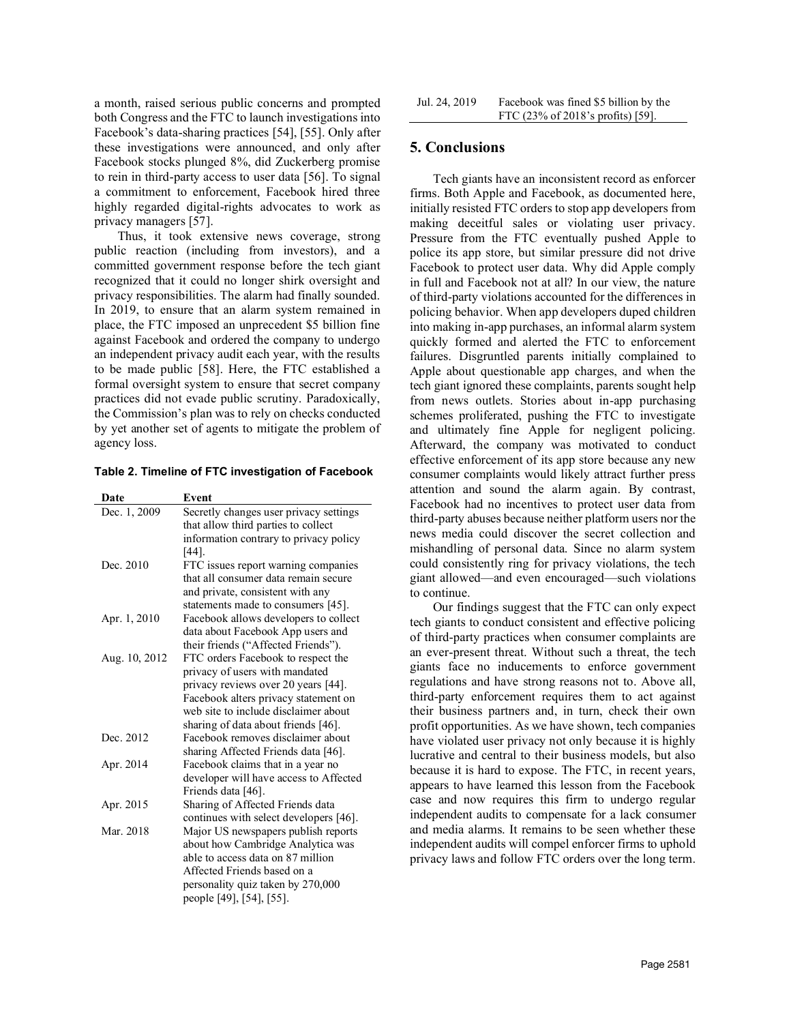a month, raised serious public concerns and prompted both Congress and the FTC to launch investigations into Facebook's data-sharing practices [54], [55]. Only after these investigations were announced, and only after Facebook stocks plunged 8%, did Zuckerberg promise to rein in third-party access to user data [56]. To signal a commitment to enforcement, Facebook hired three highly regarded digital-rights advocates to work as privacy managers [57].

Thus, it took extensive news coverage, strong public reaction (including from investors), and a committed government response before the tech giant recognized that it could no longer shirk oversight and privacy responsibilities. The alarm had finally sounded. In 2019, to ensure that an alarm system remained in place, the FTC imposed an unprecedent \$5 billion fine against Facebook and ordered the company to undergo an independent privacy audit each year, with the results to be made public [58]. Here, the FTC established a formal oversight system to ensure that secret company practices did not evade public scrutiny. Paradoxically, the Commission's plan was to rely on checks conducted by yet another set of agents to mitigate the problem of agency loss.

| Table 2. Timeline of FTC investigation of Facebook |  |  |  |  |  |
|----------------------------------------------------|--|--|--|--|--|
|----------------------------------------------------|--|--|--|--|--|

| Date          | Event                                  | auchuon a<br>Facebook l |
|---------------|----------------------------------------|-------------------------|
| Dec. 1, 2009  | Secretly changes user privacy settings | third-party             |
|               | that allow third parties to collect    | news medi               |
|               | information contrary to privacy policy |                         |
|               | [44].                                  | mishandlin              |
| Dec. 2010     | FTC issues report warning companies    | could consi             |
|               | that all consumer data remain secure   | giant allow             |
|               | and private, consistent with any       | to continue             |
|               | statements made to consumers [45].     | Our fir                 |
| Apr. 1, 2010  | Facebook allows developers to collect  | tech giants             |
|               | data about Facebook App users and      | of third-pai            |
|               | their friends ("Affected Friends").    | an ever-pre             |
| Aug. 10, 2012 | FTC orders Facebook to respect the     | giants face             |
|               | privacy of users with mandated         |                         |
|               | privacy reviews over 20 years [44].    | regulations             |
|               | Facebook alters privacy statement on   | third-party             |
|               | web site to include disclaimer about   | their busin             |
|               | sharing of data about friends [46].    | profit oppo             |
| Dec. 2012     | Facebook removes disclaimer about      | have violat             |
|               | sharing Affected Friends data [46].    | lucrative ar            |
| Apr. 2014     | Facebook claims that in a year no      | because it i            |
|               | developer will have access to Affected | appears to              |
|               | Friends data [46].                     | case and r              |
| Apr. 2015     | Sharing of Affected Friends data       |                         |
|               | continues with select developers [46]. | independen              |
| Mar. 2018     | Major US newspapers publish reports    | and media               |
|               | about how Cambridge Analytica was      | independen              |
|               | able to access data on 87 million      | privacy law             |
|               | Affected Friends based on a            |                         |
|               | personality quiz taken by 270,000      |                         |
|               | people [49], [54], [55].               |                         |

### 5. Conclusions

Table 2. Timeline of FTC investigation of Facebook consumer complaints would likely attract further press information contrary to privacy policy news media could discover the secret collection and Dec. 2010 FTC issues report warning companies could consistently ring for privacy violations, the tech that all consumer data remain secure giant allowed—and even encouraged—such violations Tech giants have an inconsistent record as enforcer firms. Both Apple and Facebook, as documented here, initially resisted FTC orders to stop app developers from making deceitful sales or violating user privacy. Pressure from the FTC eventually pushed Apple to police its app store, but similar pressure did not drive Facebook to protect user data. Why did Apple comply in full and Facebook not at all? In our view, the nature of third-party violations accounted for the differences in policing behavior. When app developers duped children into making in-app purchases, an informal alarm system quickly formed and alerted the FTC to enforcement failures. Disgruntled parents initially complained to Apple about questionable app charges, and when the tech giant ignored these complaints, parents sought help from news outlets. Stories about in-app purchasing schemes proliferated, pushing the FTC to investigate and ultimately fine Apple for negligent policing. Afterward, the company was motivated to conduct effective enforcement of its app store because any new attention and sound the alarm again. By contrast, Facebook had no incentives to protect user data from third-party abuses because neither platform users nor the mishandling of personal data. Since no alarm system to continue.

statements made to consumers [45]. Our findings suggest that the FTC can only expect Apr. 1, 2010 Facebook allows developers to collect tech giants to conduct consistent and effective policing data about Facebook App users and<br>
of third-party practices when consumer complaints are privacy reviews over 20 years [44]. regulations and have strong reasons not to. Above all, Facebook alters privacy statement on third-party enforcement requires them to act against web site to include disclaimer about their business partners and, in turn, check their own sharing of data about friends [46]. profit opportunities. As we have shown, tech companies Dec. 2012 Facebook removes disclaimer about have violated user privacy not only because it is highly sharing Affected Friends data [46]. lucrative and central to their business models, but also continues with select developers [46]. independent audits to compensate for a lack consumer Mar. 2018 Major US newspapers publish reports and media alarms. It remains to be seen whether these about how Cambridge Analytica was independent audits will compel enforcer firms to uphold able to access data on 87 million privacy laws and follow FTC orders over the long term. an ever-present threat. Without such a threat, the tech giants face no inducements to enforce government because it is hard to expose. The FTC, in recent years, appears to have learned this lesson from the Facebook case and now requires this firm to undergo regular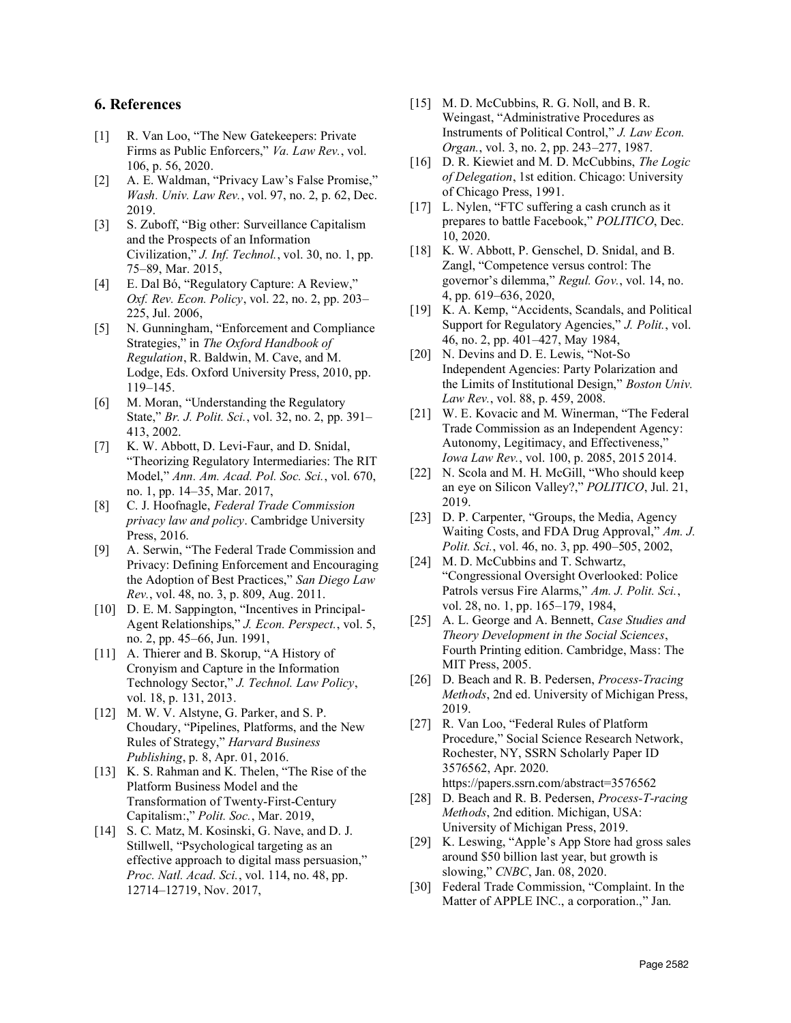## 6. References

- [1] R. Van Loo, "The New Gatekeepers: Private Firms as Public Enforcers," Va. Law Rev., vol. 106, p. 56, 2020.
- [2] A. E. Waldman, "Privacy Law's False Promise," Wash. Univ. Law Rev., vol. 97, no. 2, p. 62, Dec. 2019.
- [3] S. Zuboff, "Big other: Surveillance Capitalism and the Prospects of an Information Civilization," J. Inf. Technol., vol. 30, no. 1, pp. 75–89, Mar. 2015,
- [4] E. Dal Bó, "Regulatory Capture: A Review," Oxf. Rev. Econ. Policy, vol. 22, no. 2, pp. 203– 225, Jul. 2006,
- [5] N. Gunningham, "Enforcement and Compliance Strategies," in *The Oxford Handbook of*<br>Regulation R. Baldwin, M. Cave, and M. [20] Regulation, R. Baldwin, M. Cave, and M. Lodge, Eds. Oxford University Press, 2010, pp. 119–145.
- [6] M. Moran, "Understanding the Regulatory State," Br. J. Polit. Sci., vol. 32, no. 2, pp. 391– 413, 2002.
- [7] K. W. Abbott, D. Levi-Faur, and D. Snidal, "Theorizing Regulatory Intermediaries: The RIT Model," Ann. Am. Acad. Pol. Soc. Sci., vol. 670, no. 1, pp. 14–35, Mar. 2017,
- [8] C. J. Hoofnagle, Federal Trade Commission privacy law and policy. Cambridge University Press, 2016.
- [9] A. Serwin, "The Federal Trade Commission and Privacy: Defining Enforcement and Encouraging the Adoption of Best Practices," San Diego Law Rev., vol. 48, no. 3, p. 809, Aug. 2011.
- [10] D. E. M. Sappington, "Incentives in Principalno. 2, pp. 45–66, Jun. 1991,
- [11] A. Thierer and B. Skorup, "A History of Cronyism and Capture in the Information Technology Sector," J. Technol. Law Policy, vol. 18, p. 131, 2013.
- [12] M. W. V. Alstyne, G. Parker, and S. P. Choudary, "Pipelines, Platforms, and the New Rules of Strategy," Harvard Business Publishing, p. 8, Apr. 01, 2016.
- [13] K. S. Rahman and K. Thelen, "The Rise of the Platform Business Model and the Transformation of Twenty-First-Century Capitalism:," Polit. Soc., Mar. 2019,
- [14] S. C. Matz, M. Kosinski, G. Nave, and D. J. Stillwell, "Psychological targeting as an effective approach to digital mass persuasion," *Proc. Natl. Acad. Sci.*, vol. 114, no. 48, pp. (30) 12714–12719, Nov. 2017,
- [15] M. D. McCubbins, R. G. Noll, and B. R. Weingast, "Administrative Procedures as Instruments of Political Control," J. Law Econ. Organ., vol. 3, no. 2, pp. 243–277, 1987.
- [16] D. R. Kiewiet and M. D. McCubbins, The Logic of Delegation, 1st edition. Chicago: University of Chicago Press, 1991.
- [17] L. Nylen, "FTC suffering a cash crunch as it prepares to battle Facebook," POLITICO, Dec. 10, 2020.
- [18] K. W. Abbott, P. Genschel, D. Snidal, and B. Zangl, "Competence versus control: The governor's dilemma," Regul. Gov., vol. 14, no. 4, pp. 619–636, 2020,
- [19] K. A. Kemp, "Accidents, Scandals, and Political Support for Regulatory Agencies," J. Polit., vol. 46, no. 2, pp. 401–427, May 1984,
- N. Devins and D. E. Lewis, "Not-So Independent Agencies: Party Polarization and the Limits of Institutional Design," Boston Univ. Law Rev., vol. 88, p. 459, 2008.
- [21] W. E. Kovacic and M. Winerman, "The Federal" Trade Commission as an Independent Agency: Autonomy, Legitimacy, and Effectiveness," Iowa Law Rev., vol. 100, p. 2085, 2015 2014.
- [22] N. Scola and M. H. McGill, "Who should keep an eye on Silicon Valley?," POLITICO, Jul. 21, 2019.
- [23] D. P. Carpenter, "Groups, the Media, Agency Waiting Costs, and FDA Drug Approval," Am. J. Polit. Sci., vol. 46, no. 3, pp. 490–505, 2002,
- [24] M. D. McCubbins and T. Schwartz, "Congressional Oversight Overlooked: Police Patrols versus Fire Alarms," Am. J. Polit. Sci., vol. 28, no. 1, pp. 165–179, 1984,
- Agent Relationships," J. Econ. Perspect., vol. 5, [25] A. L. George and A. Bennett, Case Studies and 2 nn 45–66 Jun 1991 [25] A. L. George and A. Bennett, Case Studies and Fourth Printing edition. Cambridge, Mass: The MIT Press, 2005.
	- [26] D. Beach and R. B. Pedersen, Process-Tracing Methods, 2nd ed. University of Michigan Press, 2019.
	- [27] R. Van Loo, "Federal Rules of Platform Procedure," Social Science Research Network, Rochester, NY, SSRN Scholarly Paper ID 3576562, Apr. 2020. https://papers.ssrn.com/abstract=3576562
	- [28] D. Beach and R. B. Pedersen, *Process-T-racing* Methods, 2nd edition. Michigan, USA: University of Michigan Press, 2019.
	- [29] K. Leswing, "Apple's App Store had gross sales around \$50 billion last year, but growth is slowing," CNBC, Jan. 08, 2020.
	- Federal Trade Commission, "Complaint. In the Matter of APPLE INC., a corporation.," Jan.